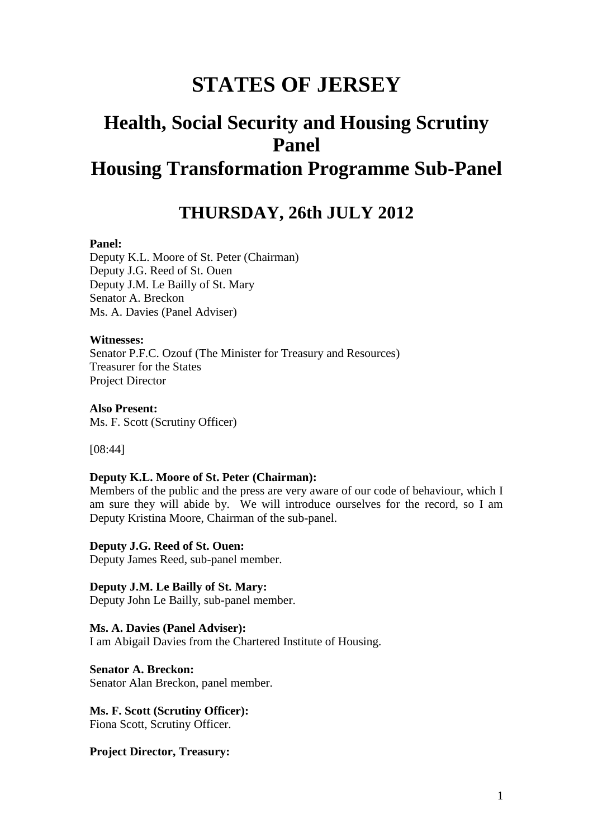# **STATES OF JERSEY**

# **Health, Social Security and Housing Scrutiny Panel Housing Transformation Programme Sub-Panel**

## **THURSDAY, 26th JULY 2012**

### **Panel:**

Deputy K.L. Moore of St. Peter (Chairman) Deputy J.G. Reed of St. Ouen Deputy J.M. Le Bailly of St. Mary Senator A. Breckon Ms. A. Davies (Panel Adviser)

#### **Witnesses:**

Senator P.F.C. Ozouf (The Minister for Treasury and Resources) Treasurer for the States Project Director

**Also Present:** Ms. F. Scott (Scrutiny Officer)

[08:44]

#### **Deputy K.L. Moore of St. Peter (Chairman):**

Members of the public and the press are very aware of our code of behaviour, which I am sure they will abide by. We will introduce ourselves for the record, so I am Deputy Kristina Moore, Chairman of the sub-panel.

**Deputy J.G. Reed of St. Ouen:**

Deputy James Reed, sub-panel member.

**Deputy J.M. Le Bailly of St. Mary:** Deputy John Le Bailly, sub-panel member.

**Ms. A. Davies (Panel Adviser):** I am Abigail Davies from the Chartered Institute of Housing.

**Senator A. Breckon:** Senator Alan Breckon, panel member.

**Ms. F. Scott (Scrutiny Officer):** Fiona Scott, Scrutiny Officer.

**Project Director, Treasury:**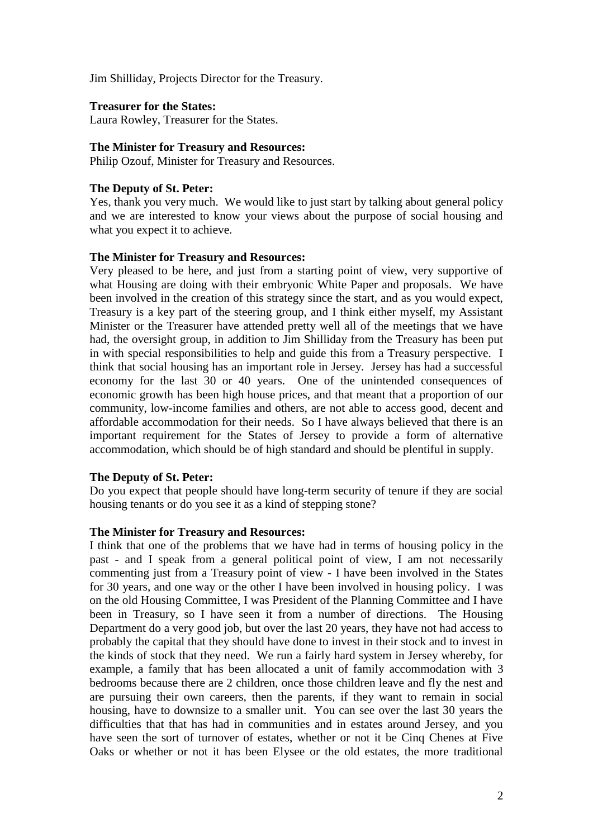Jim Shilliday, Projects Director for the Treasury.

**Treasurer for the States:** Laura Rowley, Treasurer for the States.

#### **The Minister for Treasury and Resources:**

Philip Ozouf, Minister for Treasury and Resources.

#### **The Deputy of St. Peter:**

Yes, thank you very much. We would like to just start by talking about general policy and we are interested to know your views about the purpose of social housing and what you expect it to achieve.

#### **The Minister for Treasury and Resources:**

Very pleased to be here, and just from a starting point of view, very supportive of what Housing are doing with their embryonic White Paper and proposals. We have been involved in the creation of this strategy since the start, and as you would expect, Treasury is a key part of the steering group, and I think either myself, my Assistant Minister or the Treasurer have attended pretty well all of the meetings that we have had, the oversight group, in addition to Jim Shilliday from the Treasury has been put in with special responsibilities to help and guide this from a Treasury perspective. I think that social housing has an important role in Jersey. Jersey has had a successful economy for the last 30 or 40 years. One of the unintended consequences of economic growth has been high house prices, and that meant that a proportion of our community, low-income families and others, are not able to access good, decent and affordable accommodation for their needs. So I have always believed that there is an important requirement for the States of Jersey to provide a form of alternative accommodation, which should be of high standard and should be plentiful in supply.

## **The Deputy of St. Peter:**

Do you expect that people should have long-term security of tenure if they are social housing tenants or do you see it as a kind of stepping stone?

## **The Minister for Treasury and Resources:**

I think that one of the problems that we have had in terms of housing policy in the past - and I speak from a general political point of view, I am not necessarily commenting just from a Treasury point of view - I have been involved in the States for 30 years, and one way or the other I have been involved in housing policy. I was on the old Housing Committee, I was President of the Planning Committee and I have been in Treasury, so I have seen it from a number of directions. The Housing Department do a very good job, but over the last 20 years, they have not had access to probably the capital that they should have done to invest in their stock and to invest in the kinds of stock that they need. We run a fairly hard system in Jersey whereby, for example, a family that has been allocated a unit of family accommodation with 3 bedrooms because there are 2 children, once those children leave and fly the nest and are pursuing their own careers, then the parents, if they want to remain in social housing, have to downsize to a smaller unit. You can see over the last 30 years the difficulties that that has had in communities and in estates around Jersey, and you have seen the sort of turnover of estates, whether or not it be Cinq Chenes at Five Oaks or whether or not it has been Elysee or the old estates, the more traditional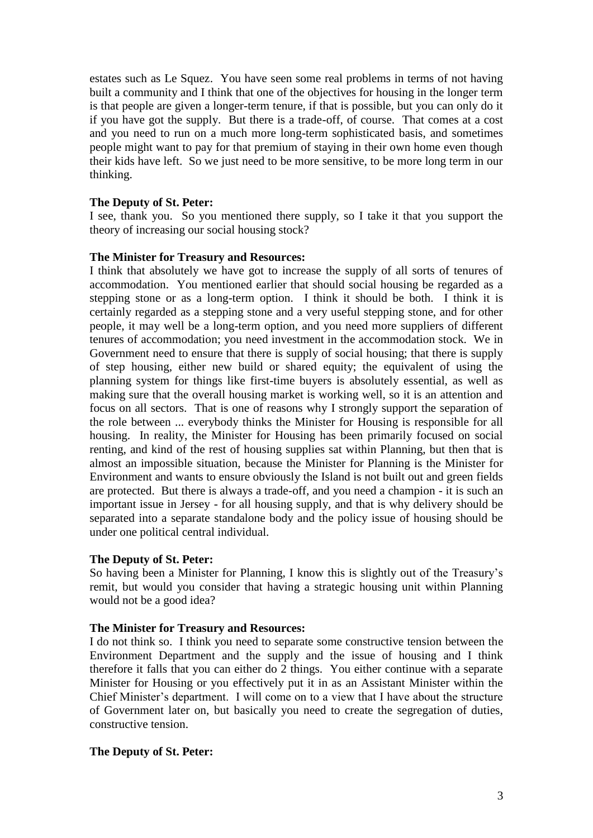estates such as Le Squez. You have seen some real problems in terms of not having built a community and I think that one of the objectives for housing in the longer term is that people are given a longer-term tenure, if that is possible, but you can only do it if you have got the supply. But there is a trade-off, of course. That comes at a cost and you need to run on a much more long-term sophisticated basis, and sometimes people might want to pay for that premium of staying in their own home even though their kids have left. So we just need to be more sensitive, to be more long term in our thinking.

## **The Deputy of St. Peter:**

I see, thank you. So you mentioned there supply, so I take it that you support the theory of increasing our social housing stock?

## **The Minister for Treasury and Resources:**

I think that absolutely we have got to increase the supply of all sorts of tenures of accommodation. You mentioned earlier that should social housing be regarded as a stepping stone or as a long-term option. I think it should be both. I think it is certainly regarded as a stepping stone and a very useful stepping stone, and for other people, it may well be a long-term option, and you need more suppliers of different tenures of accommodation; you need investment in the accommodation stock. We in Government need to ensure that there is supply of social housing; that there is supply of step housing, either new build or shared equity; the equivalent of using the planning system for things like first-time buyers is absolutely essential, as well as making sure that the overall housing market is working well, so it is an attention and focus on all sectors. That is one of reasons why I strongly support the separation of the role between ... everybody thinks the Minister for Housing is responsible for all housing. In reality, the Minister for Housing has been primarily focused on social renting, and kind of the rest of housing supplies sat within Planning, but then that is almost an impossible situation, because the Minister for Planning is the Minister for Environment and wants to ensure obviously the Island is not built out and green fields are protected. But there is always a trade-off, and you need a champion - it is such an important issue in Jersey - for all housing supply, and that is why delivery should be separated into a separate standalone body and the policy issue of housing should be under one political central individual.

## **The Deputy of St. Peter:**

So having been a Minister for Planning, I know this is slightly out of the Treasury's remit, but would you consider that having a strategic housing unit within Planning would not be a good idea?

## **The Minister for Treasury and Resources:**

I do not think so. I think you need to separate some constructive tension between the Environment Department and the supply and the issue of housing and I think therefore it falls that you can either do 2 things. You either continue with a separate Minister for Housing or you effectively put it in as an Assistant Minister within the Chief Minister's department. I will come on to a view that I have about the structure of Government later on, but basically you need to create the segregation of duties, constructive tension.

## **The Deputy of St. Peter:**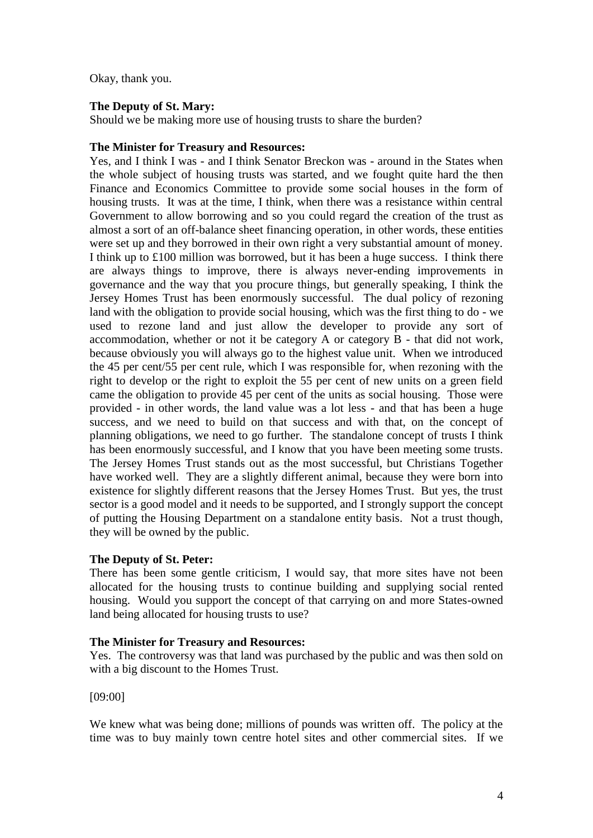Okay, thank you.

## **The Deputy of St. Mary:**

Should we be making more use of housing trusts to share the burden?

## **The Minister for Treasury and Resources:**

Yes, and I think I was - and I think Senator Breckon was - around in the States when the whole subject of housing trusts was started, and we fought quite hard the then Finance and Economics Committee to provide some social houses in the form of housing trusts. It was at the time, I think, when there was a resistance within central Government to allow borrowing and so you could regard the creation of the trust as almost a sort of an off-balance sheet financing operation, in other words, these entities were set up and they borrowed in their own right a very substantial amount of money. I think up to £100 million was borrowed, but it has been a huge success. I think there are always things to improve, there is always never-ending improvements in governance and the way that you procure things, but generally speaking, I think the Jersey Homes Trust has been enormously successful. The dual policy of rezoning land with the obligation to provide social housing, which was the first thing to do - we used to rezone land and just allow the developer to provide any sort of accommodation, whether or not it be category A or category B - that did not work, because obviously you will always go to the highest value unit. When we introduced the 45 per cent/55 per cent rule, which I was responsible for, when rezoning with the right to develop or the right to exploit the 55 per cent of new units on a green field came the obligation to provide 45 per cent of the units as social housing. Those were provided - in other words, the land value was a lot less - and that has been a huge success, and we need to build on that success and with that, on the concept of planning obligations, we need to go further. The standalone concept of trusts I think has been enormously successful, and I know that you have been meeting some trusts. The Jersey Homes Trust stands out as the most successful, but Christians Together have worked well. They are a slightly different animal, because they were born into existence for slightly different reasons that the Jersey Homes Trust. But yes, the trust sector is a good model and it needs to be supported, and I strongly support the concept of putting the Housing Department on a standalone entity basis. Not a trust though, they will be owned by the public.

## **The Deputy of St. Peter:**

There has been some gentle criticism, I would say, that more sites have not been allocated for the housing trusts to continue building and supplying social rented housing. Would you support the concept of that carrying on and more States-owned land being allocated for housing trusts to use?

## **The Minister for Treasury and Resources:**

Yes. The controversy was that land was purchased by the public and was then sold on with a big discount to the Homes Trust.

## [09:00]

We knew what was being done; millions of pounds was written off. The policy at the time was to buy mainly town centre hotel sites and other commercial sites. If we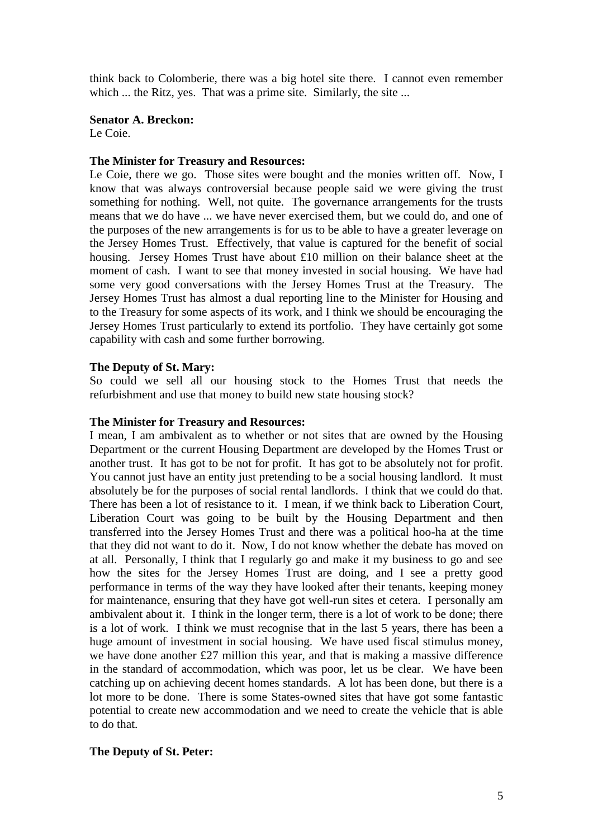think back to Colomberie, there was a big hotel site there. I cannot even remember which ... the Ritz, yes. That was a prime site. Similarly, the site ...

#### **Senator A. Breckon:** Le Coie.

#### **The Minister for Treasury and Resources:**

Le Coie, there we go. Those sites were bought and the monies written off. Now, I know that was always controversial because people said we were giving the trust something for nothing. Well, not quite. The governance arrangements for the trusts means that we do have ... we have never exercised them, but we could do, and one of the purposes of the new arrangements is for us to be able to have a greater leverage on the Jersey Homes Trust. Effectively, that value is captured for the benefit of social housing. Jersey Homes Trust have about £10 million on their balance sheet at the moment of cash. I want to see that money invested in social housing. We have had some very good conversations with the Jersey Homes Trust at the Treasury. The Jersey Homes Trust has almost a dual reporting line to the Minister for Housing and to the Treasury for some aspects of its work, and I think we should be encouraging the Jersey Homes Trust particularly to extend its portfolio. They have certainly got some capability with cash and some further borrowing.

#### **The Deputy of St. Mary:**

So could we sell all our housing stock to the Homes Trust that needs the refurbishment and use that money to build new state housing stock?

#### **The Minister for Treasury and Resources:**

I mean, I am ambivalent as to whether or not sites that are owned by the Housing Department or the current Housing Department are developed by the Homes Trust or another trust. It has got to be not for profit. It has got to be absolutely not for profit. You cannot just have an entity just pretending to be a social housing landlord. It must absolutely be for the purposes of social rental landlords. I think that we could do that. There has been a lot of resistance to it. I mean, if we think back to Liberation Court, Liberation Court was going to be built by the Housing Department and then transferred into the Jersey Homes Trust and there was a political hoo-ha at the time that they did not want to do it. Now, I do not know whether the debate has moved on at all. Personally, I think that I regularly go and make it my business to go and see how the sites for the Jersey Homes Trust are doing, and I see a pretty good performance in terms of the way they have looked after their tenants, keeping money for maintenance, ensuring that they have got well-run sites et cetera. I personally am ambivalent about it. I think in the longer term, there is a lot of work to be done; there is a lot of work. I think we must recognise that in the last 5 years, there has been a huge amount of investment in social housing. We have used fiscal stimulus money, we have done another £27 million this year, and that is making a massive difference in the standard of accommodation, which was poor, let us be clear. We have been catching up on achieving decent homes standards. A lot has been done, but there is a lot more to be done. There is some States-owned sites that have got some fantastic potential to create new accommodation and we need to create the vehicle that is able to do that.

## **The Deputy of St. Peter:**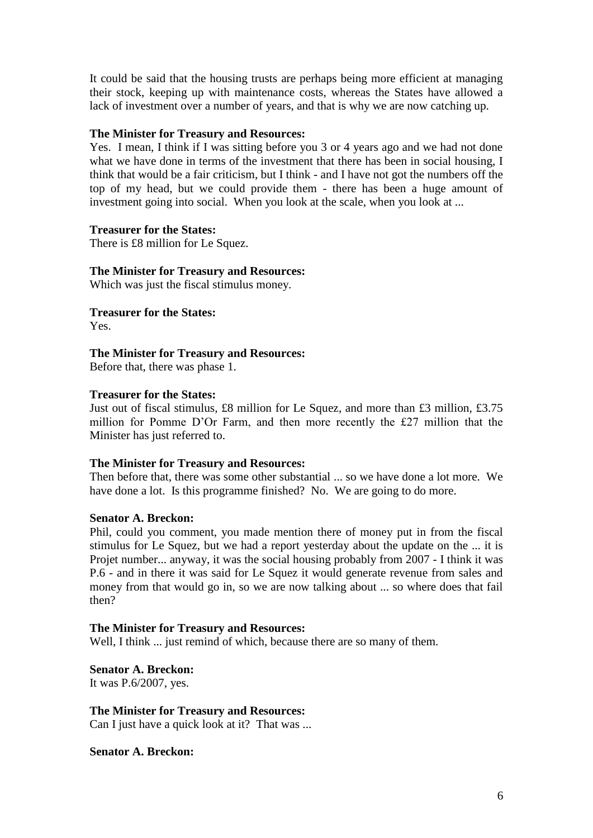It could be said that the housing trusts are perhaps being more efficient at managing their stock, keeping up with maintenance costs, whereas the States have allowed a lack of investment over a number of years, and that is why we are now catching up.

## **The Minister for Treasury and Resources:**

Yes. I mean, I think if I was sitting before you 3 or 4 years ago and we had not done what we have done in terms of the investment that there has been in social housing, I think that would be a fair criticism, but I think - and I have not got the numbers off the top of my head, but we could provide them - there has been a huge amount of investment going into social. When you look at the scale, when you look at ...

#### **Treasurer for the States:**

There is £8 million for Le Squez.

## **The Minister for Treasury and Resources:**

Which was just the fiscal stimulus money.

**Treasurer for the States:**

Yes.

## **The Minister for Treasury and Resources:**

Before that, there was phase 1.

#### **Treasurer for the States:**

Just out of fiscal stimulus, £8 million for Le Squez, and more than £3 million, £3.75 million for Pomme D'Or Farm, and then more recently the £27 million that the Minister has just referred to.

## **The Minister for Treasury and Resources:**

Then before that, there was some other substantial ... so we have done a lot more. We have done a lot. Is this programme finished? No. We are going to do more.

## **Senator A. Breckon:**

Phil, could you comment, you made mention there of money put in from the fiscal stimulus for Le Squez, but we had a report yesterday about the update on the ... it is Projet number... anyway, it was the social housing probably from 2007 - I think it was P.6 - and in there it was said for Le Squez it would generate revenue from sales and money from that would go in, so we are now talking about ... so where does that fail then?

#### **The Minister for Treasury and Resources:**

Well, I think ... just remind of which, because there are so many of them.

**Senator A. Breckon:**

It was P.6/2007, yes.

## **The Minister for Treasury and Resources:**

Can I just have a quick look at it? That was ...

**Senator A. Breckon:**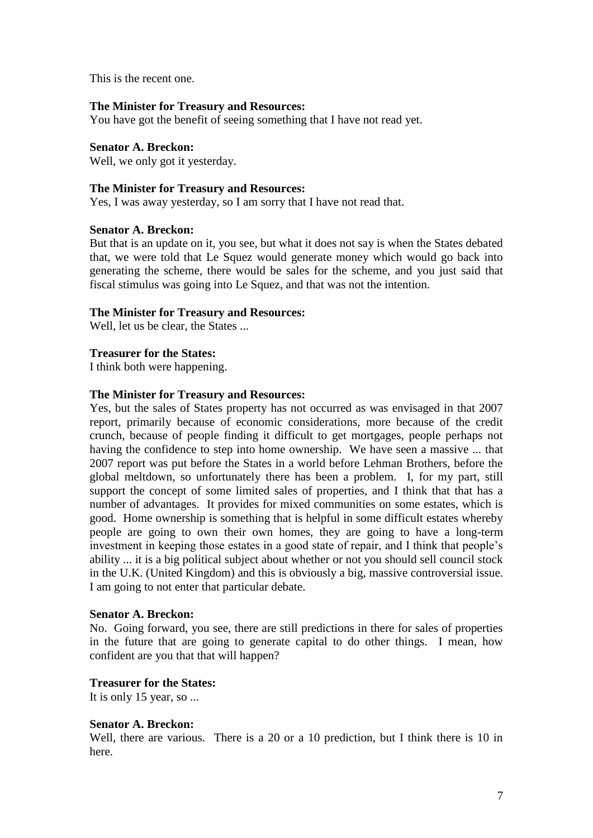This is the recent one.

#### **The Minister for Treasury and Resources:**

You have got the benefit of seeing something that I have not read yet.

## **Senator A. Breckon:**

Well, we only got it yesterday.

#### **The Minister for Treasury and Resources:**

Yes, I was away yesterday, so I am sorry that I have not read that.

#### **Senator A. Breckon:**

But that is an update on it, you see, but what it does not say is when the States debated that, we were told that Le Squez would generate money which would go back into generating the scheme, there would be sales for the scheme, and you just said that fiscal stimulus was going into Le Squez, and that was not the intention.

## **The Minister for Treasury and Resources:**

Well, let us be clear, the States ...

## **Treasurer for the States:**

I think both were happening.

#### **The Minister for Treasury and Resources:**

Yes, but the sales of States property has not occurred as was envisaged in that 2007 report, primarily because of economic considerations, more because of the credit crunch, because of people finding it difficult to get mortgages, people perhaps not having the confidence to step into home ownership. We have seen a massive ... that 2007 report was put before the States in a world before Lehman Brothers, before the global meltdown, so unfortunately there has been a problem. I, for my part, still support the concept of some limited sales of properties, and I think that that has a number of advantages. It provides for mixed communities on some estates, which is good. Home ownership is something that is helpful in some difficult estates whereby people are going to own their own homes, they are going to have a long-term investment in keeping those estates in a good state of repair, and I think that people's ability ... it is a big political subject about whether or not you should sell council stock in the U.K. (United Kingdom) and this is obviously a big, massive controversial issue. I am going to not enter that particular debate.

#### **Senator A. Breckon:**

No. Going forward, you see, there are still predictions in there for sales of properties in the future that are going to generate capital to do other things. I mean, how confident are you that that will happen?

## **Treasurer for the States:**

It is only 15 year, so ...

## **Senator A. Breckon:**

Well, there are various. There is a 20 or a 10 prediction, but I think there is 10 in here.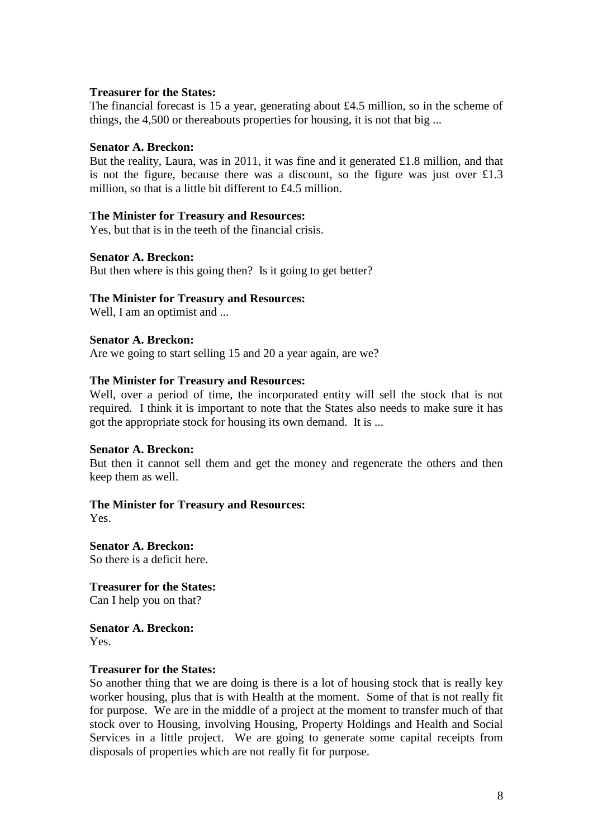#### **Treasurer for the States:**

The financial forecast is 15 a year, generating about £4.5 million, so in the scheme of things, the 4,500 or thereabouts properties for housing, it is not that big ...

## **Senator A. Breckon:**

But the reality, Laura, was in 2011, it was fine and it generated £1.8 million, and that is not the figure, because there was a discount, so the figure was just over  $\pounds1.3$ million, so that is a little bit different to £4.5 million.

#### **The Minister for Treasury and Resources:**

Yes, but that is in the teeth of the financial crisis.

#### **Senator A. Breckon:**

But then where is this going then? Is it going to get better?

#### **The Minister for Treasury and Resources:**

Well, I am an optimist and ...

#### **Senator A. Breckon:**

Are we going to start selling 15 and 20 a year again, are we?

#### **The Minister for Treasury and Resources:**

Well, over a period of time, the incorporated entity will sell the stock that is not required. I think it is important to note that the States also needs to make sure it has got the appropriate stock for housing its own demand. It is ...

#### **Senator A. Breckon:**

But then it cannot sell them and get the money and regenerate the others and then keep them as well.

## **The Minister for Treasury and Resources:**

Yes.

**Senator A. Breckon:** So there is a deficit here.

**Treasurer for the States:** Can I help you on that?

**Senator A. Breckon:** Yes.

### **Treasurer for the States:**

So another thing that we are doing is there is a lot of housing stock that is really key worker housing, plus that is with Health at the moment. Some of that is not really fit for purpose. We are in the middle of a project at the moment to transfer much of that stock over to Housing, involving Housing, Property Holdings and Health and Social Services in a little project. We are going to generate some capital receipts from disposals of properties which are not really fit for purpose.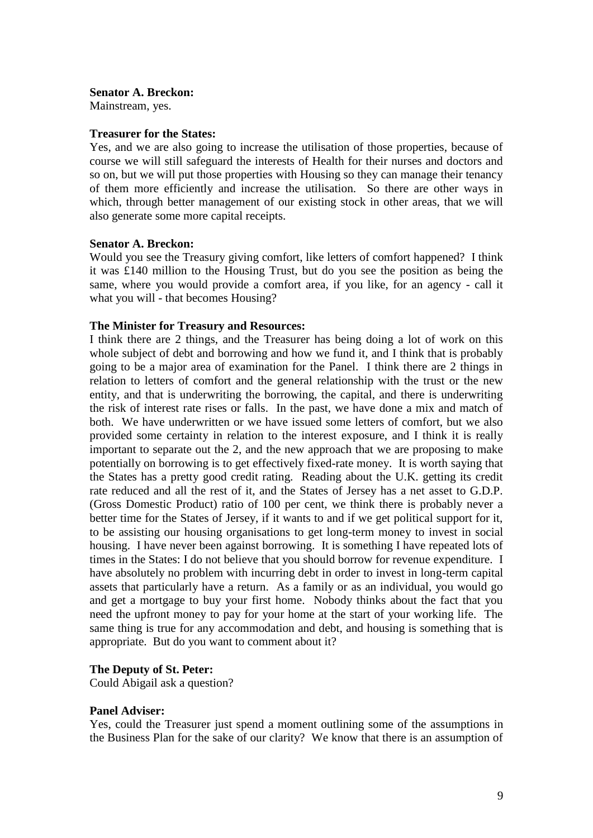#### **Senator A. Breckon:**

Mainstream, yes.

#### **Treasurer for the States:**

Yes, and we are also going to increase the utilisation of those properties, because of course we will still safeguard the interests of Health for their nurses and doctors and so on, but we will put those properties with Housing so they can manage their tenancy of them more efficiently and increase the utilisation. So there are other ways in which, through better management of our existing stock in other areas, that we will also generate some more capital receipts.

## **Senator A. Breckon:**

Would you see the Treasury giving comfort, like letters of comfort happened? I think it was £140 million to the Housing Trust, but do you see the position as being the same, where you would provide a comfort area, if you like, for an agency - call it what you will - that becomes Housing?

#### **The Minister for Treasury and Resources:**

I think there are 2 things, and the Treasurer has being doing a lot of work on this whole subject of debt and borrowing and how we fund it, and I think that is probably going to be a major area of examination for the Panel. I think there are 2 things in relation to letters of comfort and the general relationship with the trust or the new entity, and that is underwriting the borrowing, the capital, and there is underwriting the risk of interest rate rises or falls. In the past, we have done a mix and match of both. We have underwritten or we have issued some letters of comfort, but we also provided some certainty in relation to the interest exposure, and I think it is really important to separate out the 2, and the new approach that we are proposing to make potentially on borrowing is to get effectively fixed-rate money. It is worth saying that the States has a pretty good credit rating. Reading about the U.K. getting its credit rate reduced and all the rest of it, and the States of Jersey has a net asset to G.D.P. (Gross Domestic Product) ratio of 100 per cent, we think there is probably never a better time for the States of Jersey, if it wants to and if we get political support for it, to be assisting our housing organisations to get long-term money to invest in social housing. I have never been against borrowing. It is something I have repeated lots of times in the States: I do not believe that you should borrow for revenue expenditure. I have absolutely no problem with incurring debt in order to invest in long-term capital assets that particularly have a return. As a family or as an individual, you would go and get a mortgage to buy your first home. Nobody thinks about the fact that you need the upfront money to pay for your home at the start of your working life. The same thing is true for any accommodation and debt, and housing is something that is appropriate. But do you want to comment about it?

## **The Deputy of St. Peter:**

Could Abigail ask a question?

## **Panel Adviser:**

Yes, could the Treasurer just spend a moment outlining some of the assumptions in the Business Plan for the sake of our clarity? We know that there is an assumption of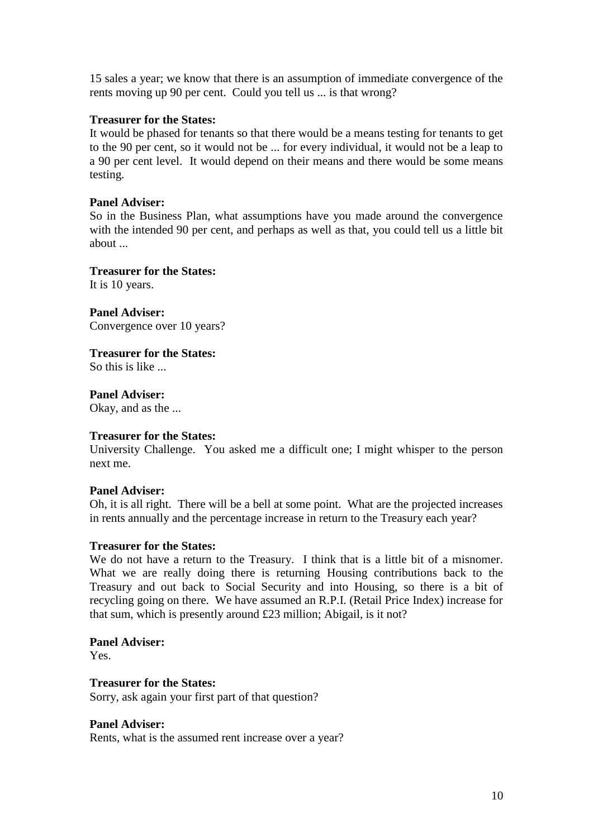15 sales a year; we know that there is an assumption of immediate convergence of the rents moving up 90 per cent. Could you tell us ... is that wrong?

## **Treasurer for the States:**

It would be phased for tenants so that there would be a means testing for tenants to get to the 90 per cent, so it would not be ... for every individual, it would not be a leap to a 90 per cent level. It would depend on their means and there would be some means testing.

## **Panel Adviser:**

So in the Business Plan, what assumptions have you made around the convergence with the intended 90 per cent, and perhaps as well as that, you could tell us a little bit about

## **Treasurer for the States:**

It is 10 years.

**Panel Adviser:** Convergence over 10 years?

## **Treasurer for the States:**

So this is like

**Panel Adviser:** Okay, and as the ...

## **Treasurer for the States:**

University Challenge. You asked me a difficult one; I might whisper to the person next me.

## **Panel Adviser:**

Oh, it is all right. There will be a bell at some point. What are the projected increases in rents annually and the percentage increase in return to the Treasury each year?

## **Treasurer for the States:**

We do not have a return to the Treasury. I think that is a little bit of a misnomer. What we are really doing there is returning Housing contributions back to the Treasury and out back to Social Security and into Housing, so there is a bit of recycling going on there. We have assumed an R.P.I. (Retail Price Index) increase for that sum, which is presently around £23 million; Abigail, is it not?

## **Panel Adviser:**

Yes.

## **Treasurer for the States:**

Sorry, ask again your first part of that question?

## **Panel Adviser:**

Rents, what is the assumed rent increase over a year?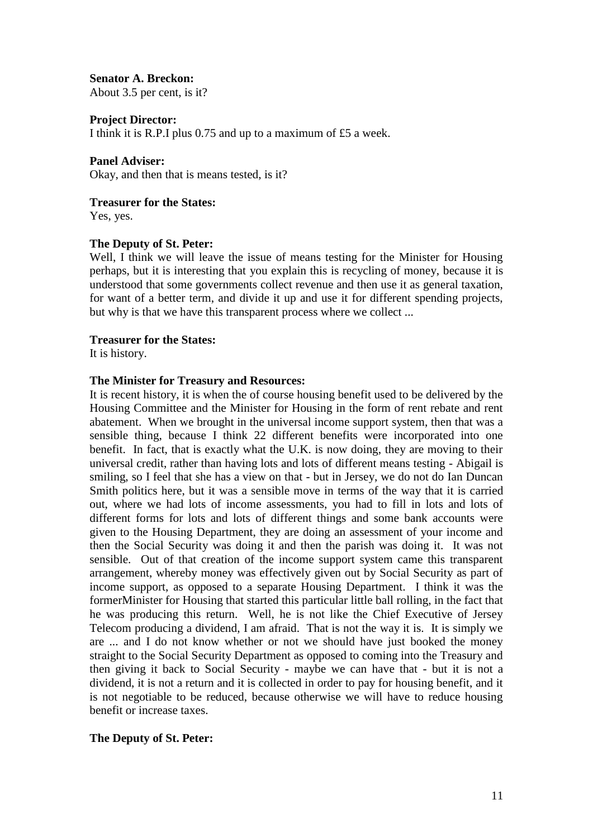**Senator A. Breckon:** About 3.5 per cent, is it?

**Project Director:**

I think it is R.P.I plus 0.75 and up to a maximum of £5 a week.

#### **Panel Adviser:**

Okay, and then that is means tested, is it?

**Treasurer for the States:**

Yes, yes.

#### **The Deputy of St. Peter:**

Well, I think we will leave the issue of means testing for the Minister for Housing perhaps, but it is interesting that you explain this is recycling of money, because it is understood that some governments collect revenue and then use it as general taxation, for want of a better term, and divide it up and use it for different spending projects, but why is that we have this transparent process where we collect ...

#### **Treasurer for the States:**

It is history.

## **The Minister for Treasury and Resources:**

It is recent history, it is when the of course housing benefit used to be delivered by the Housing Committee and the Minister for Housing in the form of rent rebate and rent abatement. When we brought in the universal income support system, then that was a sensible thing, because I think 22 different benefits were incorporated into one benefit. In fact, that is exactly what the U.K. is now doing, they are moving to their universal credit, rather than having lots and lots of different means testing - Abigail is smiling, so I feel that she has a view on that - but in Jersey, we do not do Ian Duncan Smith politics here, but it was a sensible move in terms of the way that it is carried out, where we had lots of income assessments, you had to fill in lots and lots of different forms for lots and lots of different things and some bank accounts were given to the Housing Department, they are doing an assessment of your income and then the Social Security was doing it and then the parish was doing it. It was not sensible. Out of that creation of the income support system came this transparent arrangement, whereby money was effectively given out by Social Security as part of income support, as opposed to a separate Housing Department. I think it was the formerMinister for Housing that started this particular little ball rolling, in the fact that he was producing this return. Well, he is not like the Chief Executive of Jersey Telecom producing a dividend, I am afraid. That is not the way it is. It is simply we are ... and I do not know whether or not we should have just booked the money straight to the Social Security Department as opposed to coming into the Treasury and then giving it back to Social Security - maybe we can have that - but it is not a dividend, it is not a return and it is collected in order to pay for housing benefit, and it is not negotiable to be reduced, because otherwise we will have to reduce housing benefit or increase taxes.

## **The Deputy of St. Peter:**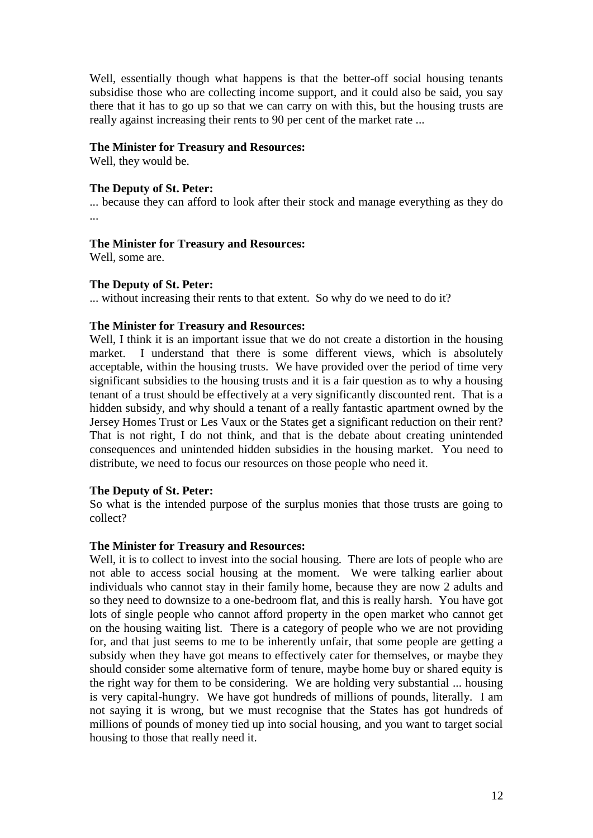Well, essentially though what happens is that the better-off social housing tenants subsidise those who are collecting income support, and it could also be said, you say there that it has to go up so that we can carry on with this, but the housing trusts are really against increasing their rents to 90 per cent of the market rate ...

## **The Minister for Treasury and Resources:**

Well, they would be.

## **The Deputy of St. Peter:**

... because they can afford to look after their stock and manage everything as they do ...

## **The Minister for Treasury and Resources:**

Well, some are.

## **The Deputy of St. Peter:**

... without increasing their rents to that extent. So why do we need to do it?

## **The Minister for Treasury and Resources:**

Well, I think it is an important issue that we do not create a distortion in the housing market. I understand that there is some different views, which is absolutely acceptable, within the housing trusts. We have provided over the period of time very significant subsidies to the housing trusts and it is a fair question as to why a housing tenant of a trust should be effectively at a very significantly discounted rent. That is a hidden subsidy, and why should a tenant of a really fantastic apartment owned by the Jersey Homes Trust or Les Vaux or the States get a significant reduction on their rent? That is not right, I do not think, and that is the debate about creating unintended consequences and unintended hidden subsidies in the housing market. You need to distribute, we need to focus our resources on those people who need it.

## **The Deputy of St. Peter:**

So what is the intended purpose of the surplus monies that those trusts are going to collect?

## **The Minister for Treasury and Resources:**

Well, it is to collect to invest into the social housing. There are lots of people who are not able to access social housing at the moment. We were talking earlier about individuals who cannot stay in their family home, because they are now 2 adults and so they need to downsize to a one-bedroom flat, and this is really harsh. You have got lots of single people who cannot afford property in the open market who cannot get on the housing waiting list. There is a category of people who we are not providing for, and that just seems to me to be inherently unfair, that some people are getting a subsidy when they have got means to effectively cater for themselves, or maybe they should consider some alternative form of tenure, maybe home buy or shared equity is the right way for them to be considering. We are holding very substantial ... housing is very capital-hungry. We have got hundreds of millions of pounds, literally. I am not saying it is wrong, but we must recognise that the States has got hundreds of millions of pounds of money tied up into social housing, and you want to target social housing to those that really need it.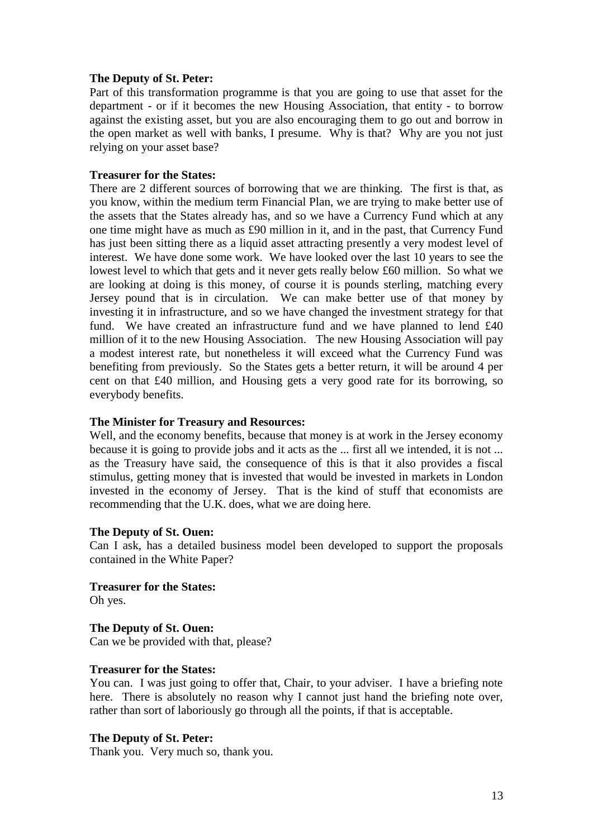## **The Deputy of St. Peter:**

Part of this transformation programme is that you are going to use that asset for the department - or if it becomes the new Housing Association, that entity - to borrow against the existing asset, but you are also encouraging them to go out and borrow in the open market as well with banks, I presume. Why is that? Why are you not just relying on your asset base?

## **Treasurer for the States:**

There are 2 different sources of borrowing that we are thinking. The first is that, as you know, within the medium term Financial Plan, we are trying to make better use of the assets that the States already has, and so we have a Currency Fund which at any one time might have as much as £90 million in it, and in the past, that Currency Fund has just been sitting there as a liquid asset attracting presently a very modest level of interest. We have done some work. We have looked over the last 10 years to see the lowest level to which that gets and it never gets really below £60 million. So what we are looking at doing is this money, of course it is pounds sterling, matching every Jersey pound that is in circulation. We can make better use of that money by investing it in infrastructure, and so we have changed the investment strategy for that fund. We have created an infrastructure fund and we have planned to lend £40 million of it to the new Housing Association. The new Housing Association will pay a modest interest rate, but nonetheless it will exceed what the Currency Fund was benefiting from previously. So the States gets a better return, it will be around 4 per cent on that £40 million, and Housing gets a very good rate for its borrowing, so everybody benefits.

#### **The Minister for Treasury and Resources:**

Well, and the economy benefits, because that money is at work in the Jersey economy because it is going to provide jobs and it acts as the ... first all we intended, it is not ... as the Treasury have said, the consequence of this is that it also provides a fiscal stimulus, getting money that is invested that would be invested in markets in London invested in the economy of Jersey. That is the kind of stuff that economists are recommending that the U.K. does, what we are doing here.

## **The Deputy of St. Ouen:**

Can I ask, has a detailed business model been developed to support the proposals contained in the White Paper?

**Treasurer for the States:** Oh yes.

**The Deputy of St. Ouen:** Can we be provided with that, please?

## **Treasurer for the States:**

You can. I was just going to offer that, Chair, to your adviser. I have a briefing note here. There is absolutely no reason why I cannot just hand the briefing note over, rather than sort of laboriously go through all the points, if that is acceptable.

## **The Deputy of St. Peter:**

Thank you. Very much so, thank you.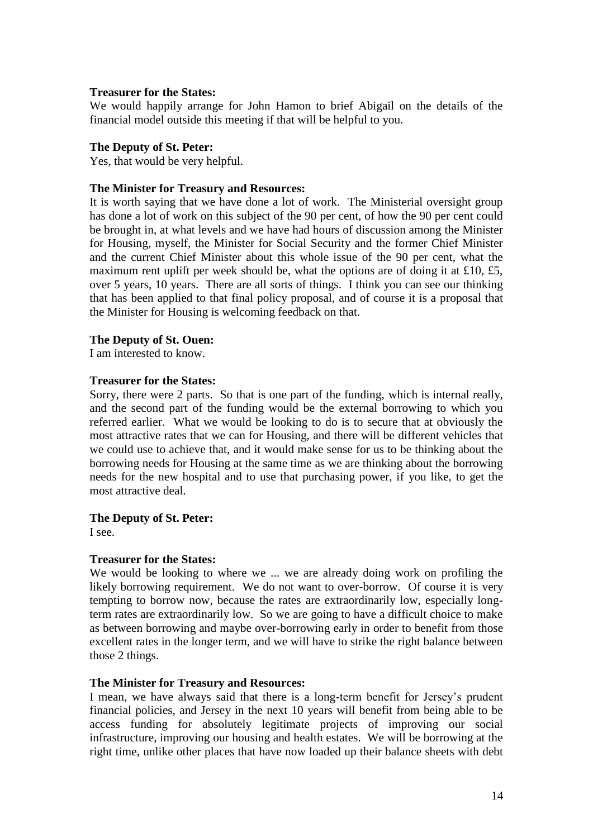#### **Treasurer for the States:**

We would happily arrange for John Hamon to brief Abigail on the details of the financial model outside this meeting if that will be helpful to you.

#### **The Deputy of St. Peter:**

Yes, that would be very helpful.

#### **The Minister for Treasury and Resources:**

It is worth saying that we have done a lot of work. The Ministerial oversight group has done a lot of work on this subject of the 90 per cent, of how the 90 per cent could be brought in, at what levels and we have had hours of discussion among the Minister for Housing, myself, the Minister for Social Security and the former Chief Minister and the current Chief Minister about this whole issue of the 90 per cent, what the maximum rent uplift per week should be, what the options are of doing it at £10, £5, over 5 years, 10 years. There are all sorts of things. I think you can see our thinking that has been applied to that final policy proposal, and of course it is a proposal that the Minister for Housing is welcoming feedback on that.

#### **The Deputy of St. Ouen:**

I am interested to know.

### **Treasurer for the States:**

Sorry, there were 2 parts. So that is one part of the funding, which is internal really, and the second part of the funding would be the external borrowing to which you referred earlier. What we would be looking to do is to secure that at obviously the most attractive rates that we can for Housing, and there will be different vehicles that we could use to achieve that, and it would make sense for us to be thinking about the borrowing needs for Housing at the same time as we are thinking about the borrowing needs for the new hospital and to use that purchasing power, if you like, to get the most attractive deal.

## **The Deputy of St. Peter:**

I see.

## **Treasurer for the States:**

We would be looking to where we ... we are already doing work on profiling the likely borrowing requirement. We do not want to over-borrow. Of course it is very tempting to borrow now, because the rates are extraordinarily low, especially longterm rates are extraordinarily low. So we are going to have a difficult choice to make as between borrowing and maybe over-borrowing early in order to benefit from those excellent rates in the longer term, and we will have to strike the right balance between those 2 things.

## **The Minister for Treasury and Resources:**

I mean, we have always said that there is a long-term benefit for Jersey's prudent financial policies, and Jersey in the next 10 years will benefit from being able to be access funding for absolutely legitimate projects of improving our social infrastructure, improving our housing and health estates. We will be borrowing at the right time, unlike other places that have now loaded up their balance sheets with debt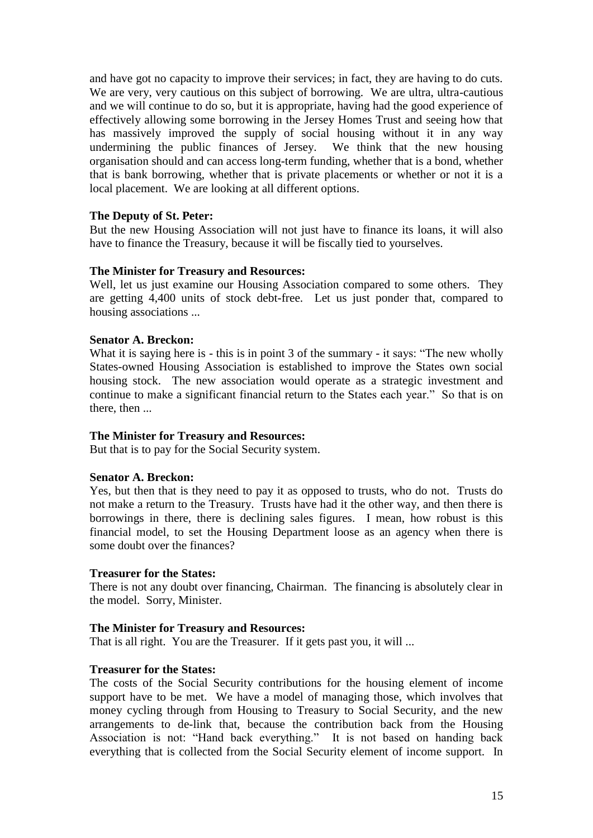and have got no capacity to improve their services; in fact, they are having to do cuts. We are very, very cautious on this subject of borrowing. We are ultra, ultra-cautious and we will continue to do so, but it is appropriate, having had the good experience of effectively allowing some borrowing in the Jersey Homes Trust and seeing how that has massively improved the supply of social housing without it in any way undermining the public finances of Jersey. We think that the new housing organisation should and can access long-term funding, whether that is a bond, whether that is bank borrowing, whether that is private placements or whether or not it is a local placement. We are looking at all different options.

## **The Deputy of St. Peter:**

But the new Housing Association will not just have to finance its loans, it will also have to finance the Treasury, because it will be fiscally tied to yourselves.

#### **The Minister for Treasury and Resources:**

Well, let us just examine our Housing Association compared to some others. They are getting 4,400 units of stock debt-free. Let us just ponder that, compared to housing associations ...

#### **Senator A. Breckon:**

What it is saying here is - this is in point 3 of the summary - it says: "The new wholly States-owned Housing Association is established to improve the States own social housing stock. The new association would operate as a strategic investment and continue to make a significant financial return to the States each year." So that is on there, then ...

#### **The Minister for Treasury and Resources:**

But that is to pay for the Social Security system.

#### **Senator A. Breckon:**

Yes, but then that is they need to pay it as opposed to trusts, who do not. Trusts do not make a return to the Treasury. Trusts have had it the other way, and then there is borrowings in there, there is declining sales figures. I mean, how robust is this financial model, to set the Housing Department loose as an agency when there is some doubt over the finances?

#### **Treasurer for the States:**

There is not any doubt over financing, Chairman. The financing is absolutely clear in the model. Sorry, Minister.

#### **The Minister for Treasury and Resources:**

That is all right. You are the Treasurer. If it gets past you, it will ...

### **Treasurer for the States:**

The costs of the Social Security contributions for the housing element of income support have to be met. We have a model of managing those, which involves that money cycling through from Housing to Treasury to Social Security, and the new arrangements to de-link that, because the contribution back from the Housing Association is not: "Hand back everything." It is not based on handing back everything that is collected from the Social Security element of income support. In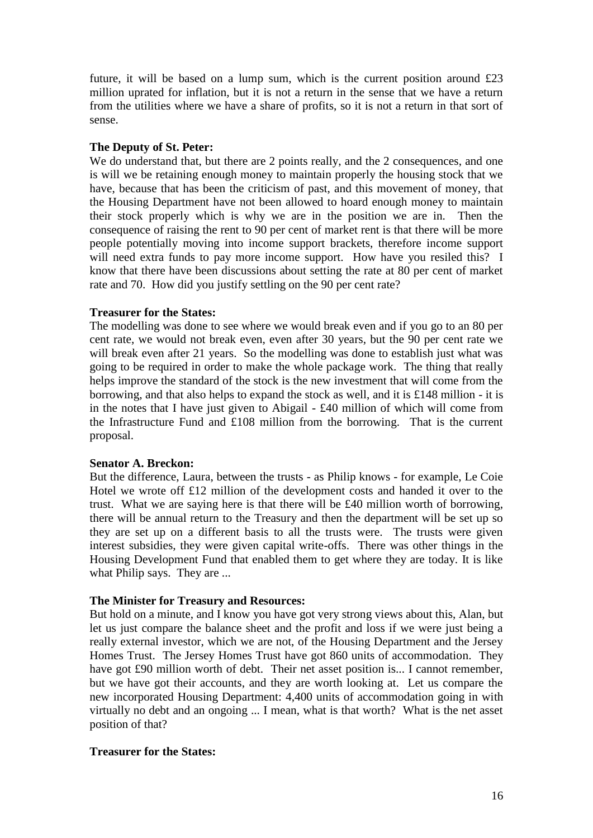future, it will be based on a lump sum, which is the current position around £23 million uprated for inflation, but it is not a return in the sense that we have a return from the utilities where we have a share of profits, so it is not a return in that sort of sense.

## **The Deputy of St. Peter:**

We do understand that, but there are 2 points really, and the 2 consequences, and one is will we be retaining enough money to maintain properly the housing stock that we have, because that has been the criticism of past, and this movement of money, that the Housing Department have not been allowed to hoard enough money to maintain their stock properly which is why we are in the position we are in. Then the consequence of raising the rent to 90 per cent of market rent is that there will be more people potentially moving into income support brackets, therefore income support will need extra funds to pay more income support. How have you resiled this? I know that there have been discussions about setting the rate at 80 per cent of market rate and 70. How did you justify settling on the 90 per cent rate?

## **Treasurer for the States:**

The modelling was done to see where we would break even and if you go to an 80 per cent rate, we would not break even, even after 30 years, but the 90 per cent rate we will break even after 21 years. So the modelling was done to establish just what was going to be required in order to make the whole package work. The thing that really helps improve the standard of the stock is the new investment that will come from the borrowing, and that also helps to expand the stock as well, and it is £148 million - it is in the notes that I have just given to Abigail - £40 million of which will come from the Infrastructure Fund and £108 million from the borrowing. That is the current proposal.

## **Senator A. Breckon:**

But the difference, Laura, between the trusts - as Philip knows - for example, Le Coie Hotel we wrote off £12 million of the development costs and handed it over to the trust. What we are saying here is that there will be £40 million worth of borrowing, there will be annual return to the Treasury and then the department will be set up so they are set up on a different basis to all the trusts were. The trusts were given interest subsidies, they were given capital write-offs. There was other things in the Housing Development Fund that enabled them to get where they are today. It is like what Philip says. They are ...

## **The Minister for Treasury and Resources:**

But hold on a minute, and I know you have got very strong views about this, Alan, but let us just compare the balance sheet and the profit and loss if we were just being a really external investor, which we are not, of the Housing Department and the Jersey Homes Trust. The Jersey Homes Trust have got 860 units of accommodation. They have got £90 million worth of debt. Their net asset position is... I cannot remember, but we have got their accounts, and they are worth looking at. Let us compare the new incorporated Housing Department: 4,400 units of accommodation going in with virtually no debt and an ongoing ... I mean, what is that worth? What is the net asset position of that?

## **Treasurer for the States:**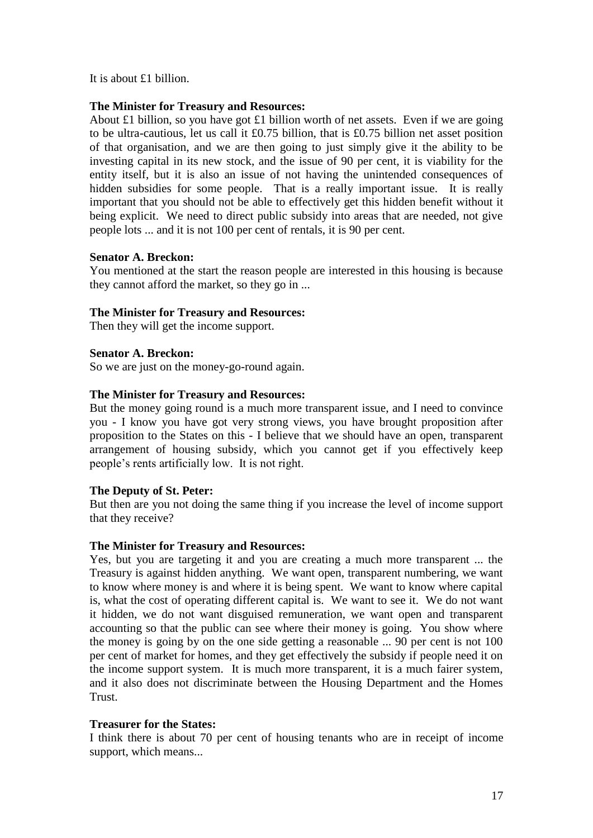It is about £1 billion.

## **The Minister for Treasury and Resources:**

About £1 billion, so you have got £1 billion worth of net assets. Even if we are going to be ultra-cautious, let us call it £0.75 billion, that is £0.75 billion net asset position of that organisation, and we are then going to just simply give it the ability to be investing capital in its new stock, and the issue of 90 per cent, it is viability for the entity itself, but it is also an issue of not having the unintended consequences of hidden subsidies for some people. That is a really important issue. It is really important that you should not be able to effectively get this hidden benefit without it being explicit. We need to direct public subsidy into areas that are needed, not give people lots ... and it is not 100 per cent of rentals, it is 90 per cent.

## **Senator A. Breckon:**

You mentioned at the start the reason people are interested in this housing is because they cannot afford the market, so they go in ...

## **The Minister for Treasury and Resources:**

Then they will get the income support.

## **Senator A. Breckon:**

So we are just on the money-go-round again.

## **The Minister for Treasury and Resources:**

But the money going round is a much more transparent issue, and I need to convince you - I know you have got very strong views, you have brought proposition after proposition to the States on this - I believe that we should have an open, transparent arrangement of housing subsidy, which you cannot get if you effectively keep people's rents artificially low. It is not right.

## **The Deputy of St. Peter:**

But then are you not doing the same thing if you increase the level of income support that they receive?

## **The Minister for Treasury and Resources:**

Yes, but you are targeting it and you are creating a much more transparent ... the Treasury is against hidden anything. We want open, transparent numbering, we want to know where money is and where it is being spent. We want to know where capital is, what the cost of operating different capital is. We want to see it. We do not want it hidden, we do not want disguised remuneration, we want open and transparent accounting so that the public can see where their money is going. You show where the money is going by on the one side getting a reasonable ... 90 per cent is not 100 per cent of market for homes, and they get effectively the subsidy if people need it on the income support system. It is much more transparent, it is a much fairer system, and it also does not discriminate between the Housing Department and the Homes **Trust** 

## **Treasurer for the States:**

I think there is about 70 per cent of housing tenants who are in receipt of income support, which means...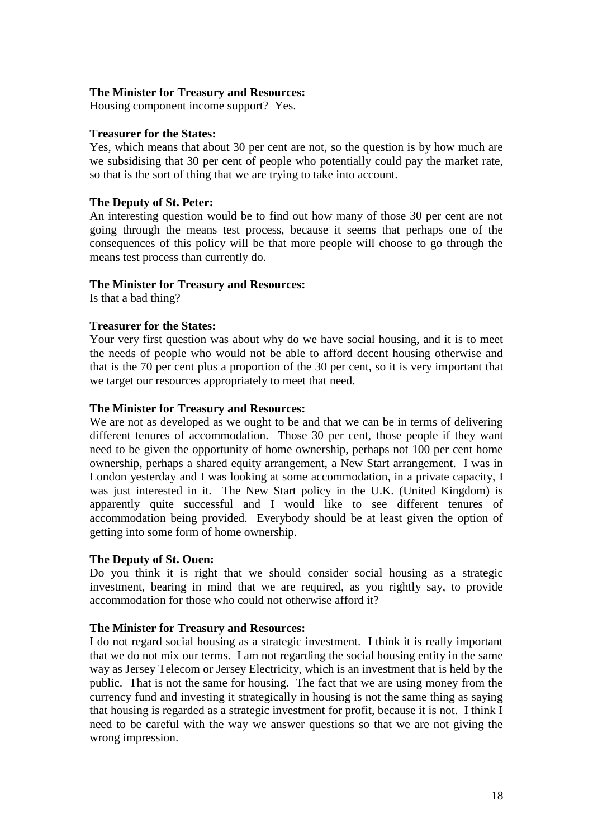#### **The Minister for Treasury and Resources:**

Housing component income support? Yes.

#### **Treasurer for the States:**

Yes, which means that about 30 per cent are not, so the question is by how much are we subsidising that 30 per cent of people who potentially could pay the market rate, so that is the sort of thing that we are trying to take into account.

## **The Deputy of St. Peter:**

An interesting question would be to find out how many of those 30 per cent are not going through the means test process, because it seems that perhaps one of the consequences of this policy will be that more people will choose to go through the means test process than currently do.

## **The Minister for Treasury and Resources:**

Is that a bad thing?

## **Treasurer for the States:**

Your very first question was about why do we have social housing, and it is to meet the needs of people who would not be able to afford decent housing otherwise and that is the 70 per cent plus a proportion of the 30 per cent, so it is very important that we target our resources appropriately to meet that need.

#### **The Minister for Treasury and Resources:**

We are not as developed as we ought to be and that we can be in terms of delivering different tenures of accommodation. Those 30 per cent, those people if they want need to be given the opportunity of home ownership, perhaps not 100 per cent home ownership, perhaps a shared equity arrangement, a New Start arrangement. I was in London yesterday and I was looking at some accommodation, in a private capacity, I was just interested in it. The New Start policy in the U.K. (United Kingdom) is apparently quite successful and I would like to see different tenures of accommodation being provided. Everybody should be at least given the option of getting into some form of home ownership.

## **The Deputy of St. Ouen:**

Do you think it is right that we should consider social housing as a strategic investment, bearing in mind that we are required, as you rightly say, to provide accommodation for those who could not otherwise afford it?

## **The Minister for Treasury and Resources:**

I do not regard social housing as a strategic investment. I think it is really important that we do not mix our terms. I am not regarding the social housing entity in the same way as Jersey Telecom or Jersey Electricity, which is an investment that is held by the public. That is not the same for housing. The fact that we are using money from the currency fund and investing it strategically in housing is not the same thing as saying that housing is regarded as a strategic investment for profit, because it is not. I think I need to be careful with the way we answer questions so that we are not giving the wrong impression.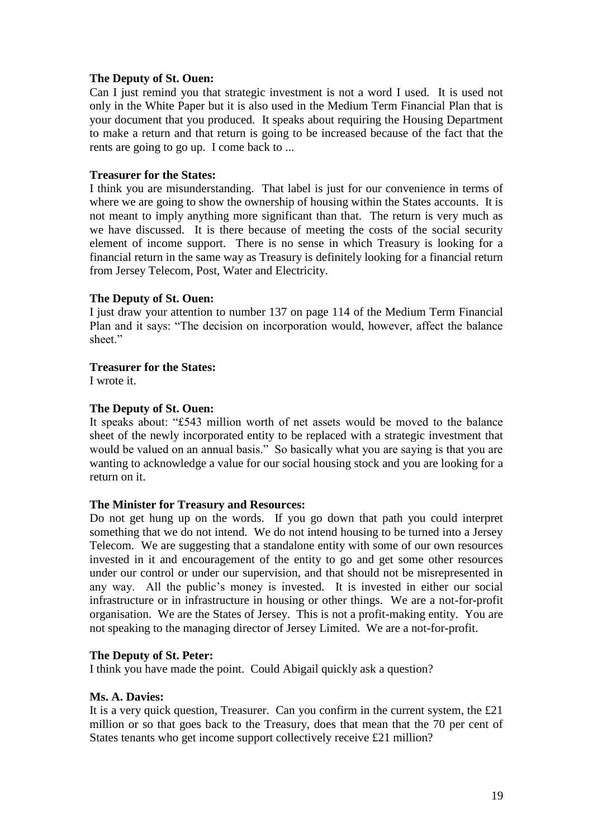## **The Deputy of St. Ouen:**

Can I just remind you that strategic investment is not a word I used. It is used not only in the White Paper but it is also used in the Medium Term Financial Plan that is your document that you produced. It speaks about requiring the Housing Department to make a return and that return is going to be increased because of the fact that the rents are going to go up. I come back to ...

## **Treasurer for the States:**

I think you are misunderstanding. That label is just for our convenience in terms of where we are going to show the ownership of housing within the States accounts. It is not meant to imply anything more significant than that. The return is very much as we have discussed. It is there because of meeting the costs of the social security element of income support. There is no sense in which Treasury is looking for a financial return in the same way as Treasury is definitely looking for a financial return from Jersey Telecom, Post, Water and Electricity.

## **The Deputy of St. Ouen:**

I just draw your attention to number 137 on page 114 of the Medium Term Financial Plan and it says: "The decision on incorporation would, however, affect the balance sheet."

#### **Treasurer for the States:**

I wrote it.

## **The Deputy of St. Ouen:**

It speaks about: "£543 million worth of net assets would be moved to the balance sheet of the newly incorporated entity to be replaced with a strategic investment that would be valued on an annual basis." So basically what you are saying is that you are wanting to acknowledge a value for our social housing stock and you are looking for a return on it.

## **The Minister for Treasury and Resources:**

Do not get hung up on the words. If you go down that path you could interpret something that we do not intend. We do not intend housing to be turned into a Jersey Telecom. We are suggesting that a standalone entity with some of our own resources invested in it and encouragement of the entity to go and get some other resources under our control or under our supervision, and that should not be misrepresented in any way. All the public's money is invested. It is invested in either our social infrastructure or in infrastructure in housing or other things. We are a not-for-profit organisation. We are the States of Jersey. This is not a profit-making entity. You are not speaking to the managing director of Jersey Limited. We are a not-for-profit.

## **The Deputy of St. Peter:**

I think you have made the point. Could Abigail quickly ask a question?

## **Ms. A. Davies:**

It is a very quick question, Treasurer. Can you confirm in the current system, the £21 million or so that goes back to the Treasury, does that mean that the 70 per cent of States tenants who get income support collectively receive £21 million?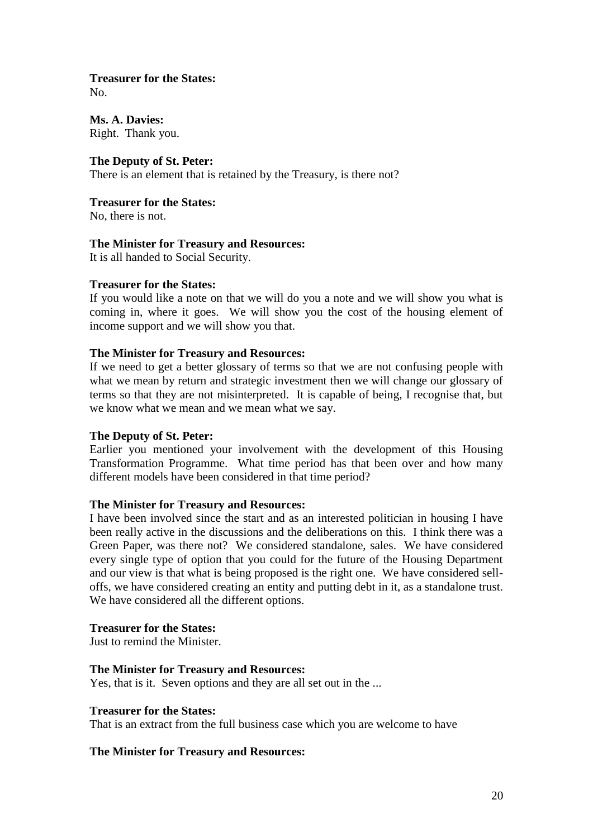## **Treasurer for the States:**

No.

**Ms. A. Davies:** Right. Thank you.

## **The Deputy of St. Peter:**

There is an element that is retained by the Treasury, is there not?

**Treasurer for the States:**

No, there is not.

## **The Minister for Treasury and Resources:**

It is all handed to Social Security.

## **Treasurer for the States:**

If you would like a note on that we will do you a note and we will show you what is coming in, where it goes. We will show you the cost of the housing element of income support and we will show you that.

## **The Minister for Treasury and Resources:**

If we need to get a better glossary of terms so that we are not confusing people with what we mean by return and strategic investment then we will change our glossary of terms so that they are not misinterpreted. It is capable of being, I recognise that, but we know what we mean and we mean what we say.

## **The Deputy of St. Peter:**

Earlier you mentioned your involvement with the development of this Housing Transformation Programme. What time period has that been over and how many different models have been considered in that time period?

## **The Minister for Treasury and Resources:**

I have been involved since the start and as an interested politician in housing I have been really active in the discussions and the deliberations on this. I think there was a Green Paper, was there not? We considered standalone, sales. We have considered every single type of option that you could for the future of the Housing Department and our view is that what is being proposed is the right one. We have considered selloffs, we have considered creating an entity and putting debt in it, as a standalone trust. We have considered all the different options.

## **Treasurer for the States:**

Just to remind the Minister.

## **The Minister for Treasury and Resources:**

Yes, that is it. Seven options and they are all set out in the ...

## **Treasurer for the States:**

That is an extract from the full business case which you are welcome to have

## **The Minister for Treasury and Resources:**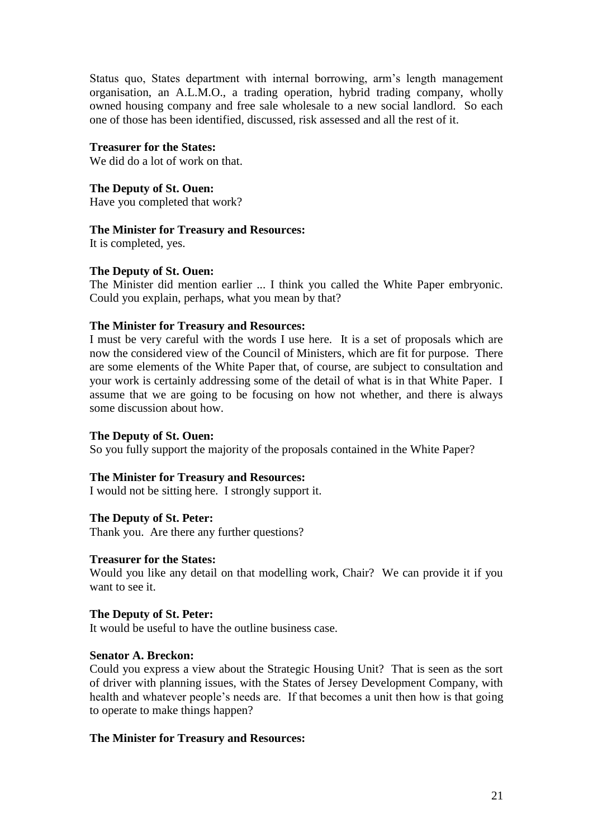Status quo, States department with internal borrowing, arm's length management organisation, an A.L.M.O., a trading operation, hybrid trading company, wholly owned housing company and free sale wholesale to a new social landlord. So each one of those has been identified, discussed, risk assessed and all the rest of it.

**Treasurer for the States:**

We did do a lot of work on that.

**The Deputy of St. Ouen:** Have you completed that work?

## **The Minister for Treasury and Resources:**

It is completed, yes.

## **The Deputy of St. Ouen:**

The Minister did mention earlier ... I think you called the White Paper embryonic. Could you explain, perhaps, what you mean by that?

## **The Minister for Treasury and Resources:**

I must be very careful with the words I use here. It is a set of proposals which are now the considered view of the Council of Ministers, which are fit for purpose. There are some elements of the White Paper that, of course, are subject to consultation and your work is certainly addressing some of the detail of what is in that White Paper. I assume that we are going to be focusing on how not whether, and there is always some discussion about how.

## **The Deputy of St. Ouen:**

So you fully support the majority of the proposals contained in the White Paper?

## **The Minister for Treasury and Resources:**

I would not be sitting here. I strongly support it.

## **The Deputy of St. Peter:**

Thank you. Are there any further questions?

## **Treasurer for the States:**

Would you like any detail on that modelling work, Chair? We can provide it if you want to see it.

## **The Deputy of St. Peter:**

It would be useful to have the outline business case.

## **Senator A. Breckon:**

Could you express a view about the Strategic Housing Unit? That is seen as the sort of driver with planning issues, with the States of Jersey Development Company, with health and whatever people's needs are. If that becomes a unit then how is that going to operate to make things happen?

## **The Minister for Treasury and Resources:**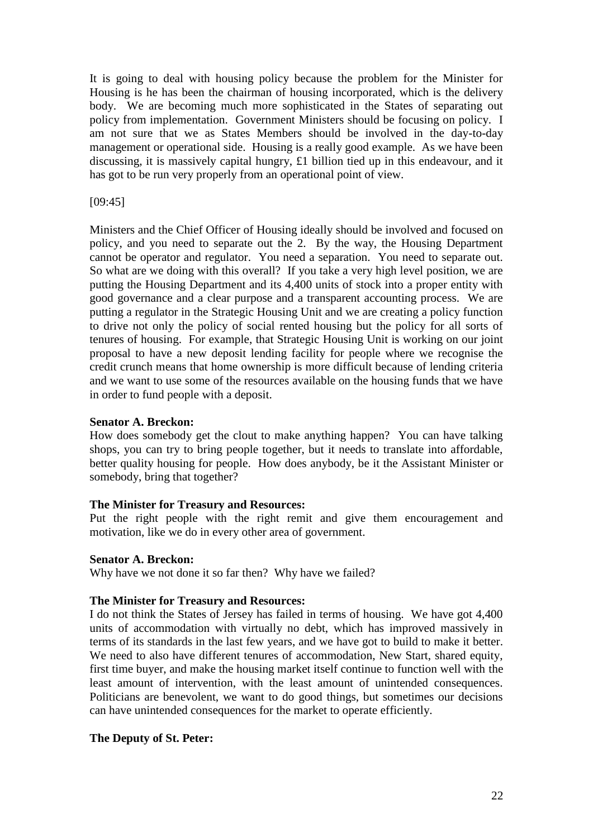It is going to deal with housing policy because the problem for the Minister for Housing is he has been the chairman of housing incorporated, which is the delivery body. We are becoming much more sophisticated in the States of separating out policy from implementation. Government Ministers should be focusing on policy. I am not sure that we as States Members should be involved in the day-to-day management or operational side. Housing is a really good example. As we have been discussing, it is massively capital hungry, £1 billion tied up in this endeavour, and it has got to be run very properly from an operational point of view.

## [09:45]

Ministers and the Chief Officer of Housing ideally should be involved and focused on policy, and you need to separate out the 2. By the way, the Housing Department cannot be operator and regulator. You need a separation. You need to separate out. So what are we doing with this overall? If you take a very high level position, we are putting the Housing Department and its 4,400 units of stock into a proper entity with good governance and a clear purpose and a transparent accounting process. We are putting a regulator in the Strategic Housing Unit and we are creating a policy function to drive not only the policy of social rented housing but the policy for all sorts of tenures of housing. For example, that Strategic Housing Unit is working on our joint proposal to have a new deposit lending facility for people where we recognise the credit crunch means that home ownership is more difficult because of lending criteria and we want to use some of the resources available on the housing funds that we have in order to fund people with a deposit.

## **Senator A. Breckon:**

How does somebody get the clout to make anything happen? You can have talking shops, you can try to bring people together, but it needs to translate into affordable, better quality housing for people. How does anybody, be it the Assistant Minister or somebody, bring that together?

## **The Minister for Treasury and Resources:**

Put the right people with the right remit and give them encouragement and motivation, like we do in every other area of government.

## **Senator A. Breckon:**

Why have we not done it so far then? Why have we failed?

## **The Minister for Treasury and Resources:**

I do not think the States of Jersey has failed in terms of housing. We have got 4,400 units of accommodation with virtually no debt, which has improved massively in terms of its standards in the last few years, and we have got to build to make it better. We need to also have different tenures of accommodation, New Start, shared equity, first time buyer, and make the housing market itself continue to function well with the least amount of intervention, with the least amount of unintended consequences. Politicians are benevolent, we want to do good things, but sometimes our decisions can have unintended consequences for the market to operate efficiently.

## **The Deputy of St. Peter:**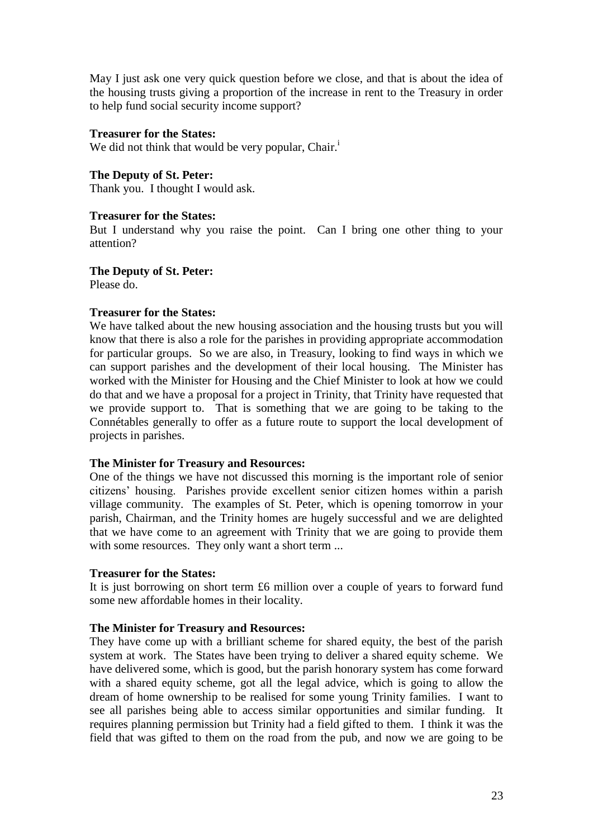May I just ask one very quick question before we close, and that is about the idea of the housing trusts giving a proportion of the increase in rent to the Treasury in order to help fund social security income support?

## **Treasurer for the States:**

We did not think that would be very popular, Chair.<sup>i</sup>

## **The Deputy of St. Peter:**

Thank you. I thought I would ask.

## **Treasurer for the States:**

But I understand why you raise the point. Can I bring one other thing to your attention?

## **The Deputy of St. Peter:**

Please do.

## **Treasurer for the States:**

We have talked about the new housing association and the housing trusts but you will know that there is also a role for the parishes in providing appropriate accommodation for particular groups. So we are also, in Treasury, looking to find ways in which we can support parishes and the development of their local housing. The Minister has worked with the Minister for Housing and the Chief Minister to look at how we could do that and we have a proposal for a project in Trinity, that Trinity have requested that we provide support to. That is something that we are going to be taking to the Connétables generally to offer as a future route to support the local development of projects in parishes.

## **The Minister for Treasury and Resources:**

One of the things we have not discussed this morning is the important role of senior citizens' housing. Parishes provide excellent senior citizen homes within a parish village community. The examples of St. Peter, which is opening tomorrow in your parish, Chairman, and the Trinity homes are hugely successful and we are delighted that we have come to an agreement with Trinity that we are going to provide them with some resources. They only want a short term ...

## **Treasurer for the States:**

It is just borrowing on short term £6 million over a couple of years to forward fund some new affordable homes in their locality.

## **The Minister for Treasury and Resources:**

They have come up with a brilliant scheme for shared equity, the best of the parish system at work. The States have been trying to deliver a shared equity scheme. We have delivered some, which is good, but the parish honorary system has come forward with a shared equity scheme, got all the legal advice, which is going to allow the dream of home ownership to be realised for some young Trinity families. I want to see all parishes being able to access similar opportunities and similar funding. It requires planning permission but Trinity had a field gifted to them. I think it was the field that was gifted to them on the road from the pub, and now we are going to be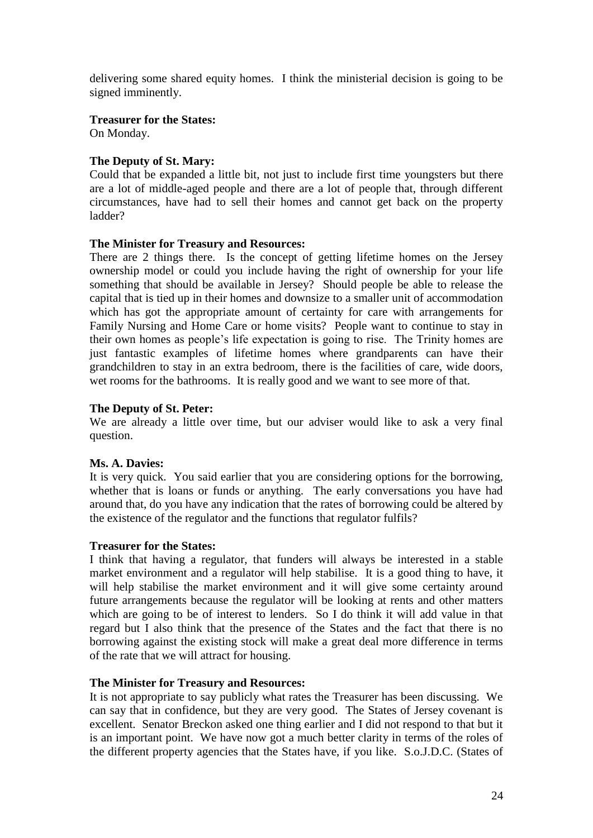delivering some shared equity homes. I think the ministerial decision is going to be signed imminently.

## **Treasurer for the States:**

On Monday.

## **The Deputy of St. Mary:**

Could that be expanded a little bit, not just to include first time youngsters but there are a lot of middle-aged people and there are a lot of people that, through different circumstances, have had to sell their homes and cannot get back on the property ladder?

## **The Minister for Treasury and Resources:**

There are 2 things there. Is the concept of getting lifetime homes on the Jersey ownership model or could you include having the right of ownership for your life something that should be available in Jersey? Should people be able to release the capital that is tied up in their homes and downsize to a smaller unit of accommodation which has got the appropriate amount of certainty for care with arrangements for Family Nursing and Home Care or home visits? People want to continue to stay in their own homes as people's life expectation is going to rise. The Trinity homes are just fantastic examples of lifetime homes where grandparents can have their grandchildren to stay in an extra bedroom, there is the facilities of care, wide doors, wet rooms for the bathrooms. It is really good and we want to see more of that.

## **The Deputy of St. Peter:**

We are already a little over time, but our adviser would like to ask a very final question.

## **Ms. A. Davies:**

It is very quick. You said earlier that you are considering options for the borrowing, whether that is loans or funds or anything. The early conversations you have had around that, do you have any indication that the rates of borrowing could be altered by the existence of the regulator and the functions that regulator fulfils?

## **Treasurer for the States:**

I think that having a regulator, that funders will always be interested in a stable market environment and a regulator will help stabilise. It is a good thing to have, it will help stabilise the market environment and it will give some certainty around future arrangements because the regulator will be looking at rents and other matters which are going to be of interest to lenders. So I do think it will add value in that regard but I also think that the presence of the States and the fact that there is no borrowing against the existing stock will make a great deal more difference in terms of the rate that we will attract for housing.

## **The Minister for Treasury and Resources:**

It is not appropriate to say publicly what rates the Treasurer has been discussing. We can say that in confidence, but they are very good. The States of Jersey covenant is excellent. Senator Breckon asked one thing earlier and I did not respond to that but it is an important point. We have now got a much better clarity in terms of the roles of the different property agencies that the States have, if you like. S.o.J.D.C. (States of